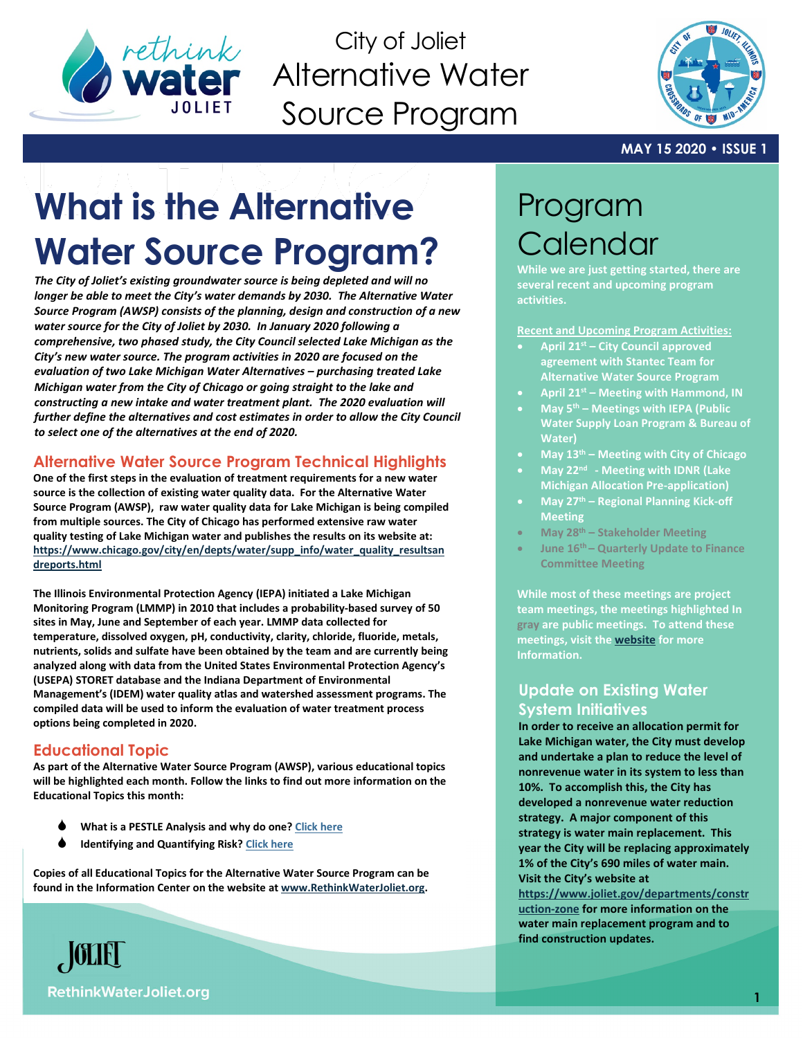

City of Joliet Alternative Water Source Program



#### **MAY 15 2020 • ISSUE 1**

# **What is the Alternative Water Source Program?**

*The City of Joliet's existing groundwater source is being depleted and will no longer be able to meet the City's water demands by 2030. The Alternative Water Source Program (AWSP) consists of the planning, design and construction of a new water source for the City of Joliet by 2030. In January 2020 following a comprehensive, two phased study, the City Council selected Lake Michigan as the City's new water source. The program activities in 2020 are focused on the evaluation of two Lake Michigan Water Alternatives – purchasing treated Lake Michigan water from the City of Chicago or going straight to the lake and constructing a new intake and water treatment plant. The 2020 evaluation will further define the alternatives and cost estimates in order to allow the City Council to select one of the alternatives at the end of 2020.* 

# **Alternative Water Source Program Technical Highlights**

**One of the first steps in the evaluation of treatment requirements for a new water source is the collection of existing water quality data. For the Alternative Water Source Program (AWSP), raw water quality data for Lake Michigan is being compiled from multiple sources. The City of Chicago has performed extensive raw water quality testing of Lake Michigan water and publishes the results on its website at: [https://www.chicago.gov/city/en/depts/water/supp\\_info/water\\_quality\\_resultsan](https://www.chicago.gov/city/en/depts/water/supp_info/water_quality_resultsandreports.html) [dreports.html](https://www.chicago.gov/city/en/depts/water/supp_info/water_quality_resultsandreports.html)**

**The Illinois Environmental Protection Agency (IEPA) initiated a Lake Michigan Monitoring Program (LMMP) in 2010 that includes a probability-based survey of 50 sites in May, June and September of each year. LMMP data collected for temperature, dissolved oxygen, pH, conductivity, clarity, chloride, fluoride, metals, nutrients, solids and sulfate have been obtained by the team and are currently being analyzed along with data from the United States Environmental Protection Agency's (USEPA) STORET database and the Indiana Department of Environmental Management's (IDEM) water quality atlas and watershed assessment programs. The compiled data will be used to inform the evaluation of water treatment process options being completed in 2020.**

# **Educational Topic**

**As part of the Alternative Water Source Program (AWSP), various educational topics will be highlighted each month. Follow the links to find out more information on the Educational Topics this month:**

- **What is a PESTLE Analysis and why do one[? Click here](https://db3eaa5b-627b-4351-a0d6-a59bfce6a4d6.filesusr.com/ugd/3961f7_fc4506fa3c0148ef827e015bf1bf7cab.pdf)**
- **Identifying and Quantifying Risk[? Click here](https://db3eaa5b-627b-4351-a0d6-a59bfce6a4d6.filesusr.com/ugd/3961f7_7e4d000da3984991a29102c167db3e73.pdf)**

**Copies of all Educational Topics for the Alternative Water Source Program can be found in the Information Center on the website a[t www.RethinkWaterJoliet.org.](http://www.rethinkwaterjoliet.org/)**

# Program **Calendar**

**While we are just getting started, there are several recent and upcoming program activities.**

**Recent and Upcoming Program Activities:**

- **April 21st – City Council approved agreement with Stantec Team for Alternative Water Source Program**
- **April 21st – Meeting with Hammond, IN**
- **May 5th – Meetings with IEPA (Public Water Supply Loan Program & Bureau of Water)**
- **May 13th – Meeting with City of Chicago**
- **May 22nd - Meeting with IDNR (Lake Michigan Allocation Pre-application)**
- **May 27th – Regional Planning Kick-off Meeting**
- **May 28th – Stakeholder Meeting**
- **June 16th – Quarterly Update to Finance Committee Meeting**

**While most of these meetings are project team meetings, the meetings highlighted In gray are public meetings. To attend these meetings, visit the [website](http://www.rethinkwaterjoliet.org/) for more Information.**

# **Update on Existing Water System Initiatives**

**In order to receive an allocation permit for Lake Michigan water, the City must develop and undertake a plan to reduce the level of nonrevenue water in its system to less than 10%. To accomplish this, the City has developed a nonrevenue water reduction strategy. A major component of this strategy is water main replacement. This year the City will be replacing approximately 1% of the City's 690 miles of water main. Visit the City's website at [https://www.joliet.gov/departments/constr](https://www.joliet.gov/departments/construction-zone) [uction-zone](https://www.joliet.gov/departments/construction-zone) for more information on the water main replacement program and to find construction updates.** 

**RethinkWaterJoliet.org** 

 $\sqrt{\text{OLE}}$